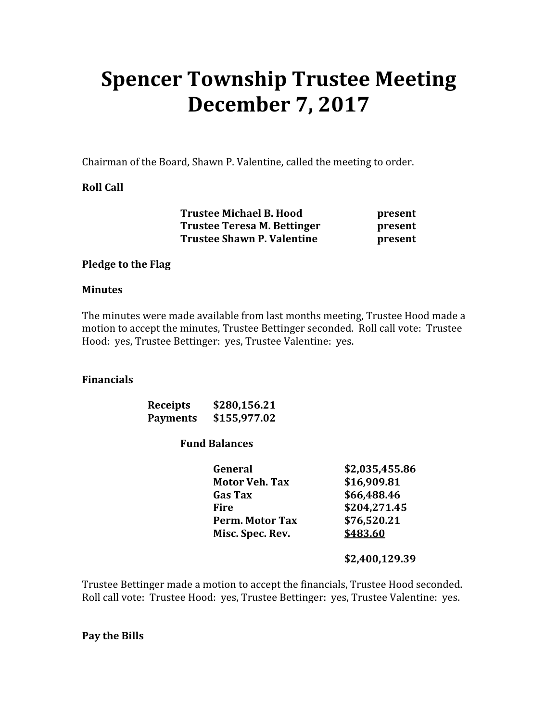# Spencer Township Trustee Meeting December 7, 2017

Chairman of the Board, Shawn P. Valentine, called the meeting to order.

## Roll Call

| <b>Trustee Michael B. Hood</b>    | present |
|-----------------------------------|---------|
| Trustee Teresa M. Bettinger       | present |
| <b>Trustee Shawn P. Valentine</b> | present |

### Pledge to the Flag

#### Minutes

The minutes were made available from last months meeting, Trustee Hood made a motion to accept the minutes, Trustee Bettinger seconded. Roll call vote: Trustee Hood: yes, Trustee Bettinger: yes, Trustee Valentine: yes.

#### Financials

| <b>Receipts</b> | \$280,156.21 |
|-----------------|--------------|
| <b>Payments</b> | \$155,977.02 |

#### Fund Balances

| General               | \$2,035,455.86 |
|-----------------------|----------------|
| <b>Motor Veh. Tax</b> | \$16,909.81    |
| <b>Gas Tax</b>        | \$66,488.46    |
| Fire                  | \$204,271.45   |
| Perm. Motor Tax       | \$76,520.21    |
| Misc. Spec. Rev.      | \$483.60       |

#### \$2,400,129.39

Trustee Bettinger made a motion to accept the financials, Trustee Hood seconded. Roll call vote: Trustee Hood: yes, Trustee Bettinger: yes, Trustee Valentine: yes.

Pay the Bills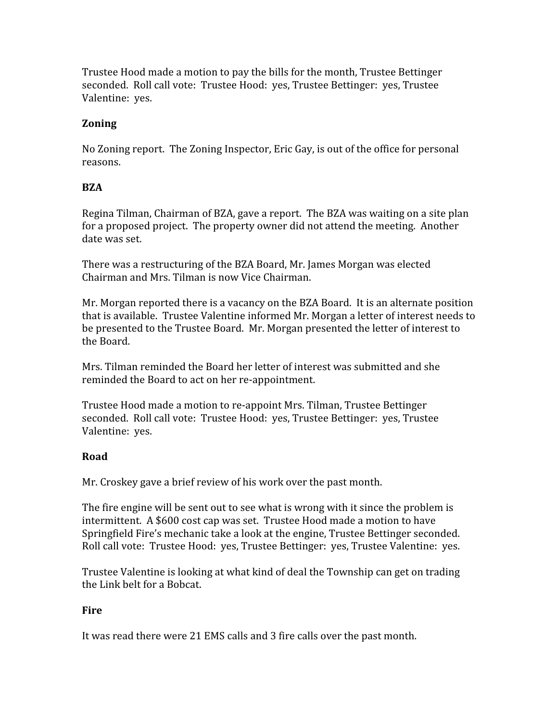Trustee Hood made a motion to pay the bills for the month, Trustee Bettinger seconded. Roll call vote: Trustee Hood: yes, Trustee Bettinger: yes, Trustee Valentine: yes.

## Zoning

No Zoning report. The Zoning Inspector, Eric Gay, is out of the office for personal reasons.

## BZA

Regina Tilman, Chairman of BZA, gave a report. The BZA was waiting on a site plan for a proposed project. The property owner did not attend the meeting. Another date was set.

There was a restructuring of the BZA Board, Mr. James Morgan was elected Chairman and Mrs. Tilman is now Vice Chairman.

Mr. Morgan reported there is a vacancy on the BZA Board. It is an alternate position that is available. Trustee Valentine informed Mr. Morgan a letter of interest needs to be presented to the Trustee Board. Mr. Morgan presented the letter of interest to the Board.

Mrs. Tilman reminded the Board her letter of interest was submitted and she reminded the Board to act on her re-appointment.

Trustee Hood made a motion to re-appoint Mrs. Tilman, Trustee Bettinger seconded. Roll call vote: Trustee Hood: yes, Trustee Bettinger: yes, Trustee Valentine: yes.

# Road

Mr. Croskey gave a brief review of his work over the past month.

The fire engine will be sent out to see what is wrong with it since the problem is intermittent. A \$600 cost cap was set. Trustee Hood made a motion to have Springfield Fire's mechanic take a look at the engine, Trustee Bettinger seconded. Roll call vote: Trustee Hood: yes, Trustee Bettinger: yes, Trustee Valentine: yes.

Trustee Valentine is looking at what kind of deal the Township can get on trading the Link belt for a Bobcat.

### Fire

It was read there were 21 EMS calls and 3 fire calls over the past month.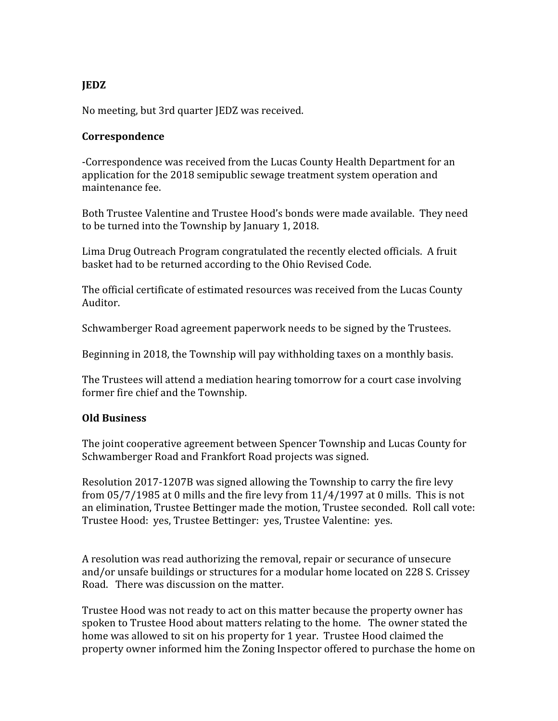# JEDZ

No meeting, but 3rd quarter JEDZ was received.

#### Correspondence

-Correspondence was received from the Lucas County Health Department for an application for the 2018 semipublic sewage treatment system operation and maintenance fee.

Both Trustee Valentine and Trustee Hood's bonds were made available. They need to be turned into the Township by January 1, 2018.

Lima Drug Outreach Program congratulated the recently elected officials. A fruit basket had to be returned according to the Ohio Revised Code.

The official certificate of estimated resources was received from the Lucas County Auditor.

Schwamberger Road agreement paperwork needs to be signed by the Trustees.

Beginning in 2018, the Township will pay withholding taxes on a monthly basis.

The Trustees will attend a mediation hearing tomorrow for a court case involving former fire chief and the Township.

### Old Business

The joint cooperative agreement between Spencer Township and Lucas County for Schwamberger Road and Frankfort Road projects was signed.

Resolution 2017-1207B was signed allowing the Township to carry the fire levy from 05/7/1985 at 0 mills and the fire levy from 11/4/1997 at 0 mills. This is not an elimination, Trustee Bettinger made the motion, Trustee seconded. Roll call vote: Trustee Hood: yes, Trustee Bettinger: yes, Trustee Valentine: yes.

A resolution was read authorizing the removal, repair or securance of unsecure and/or unsafe buildings or structures for a modular home located on 228 S. Crissey Road. There was discussion on the matter.

Trustee Hood was not ready to act on this matter because the property owner has spoken to Trustee Hood about matters relating to the home. The owner stated the home was allowed to sit on his property for 1 year. Trustee Hood claimed the property owner informed him the Zoning Inspector offered to purchase the home on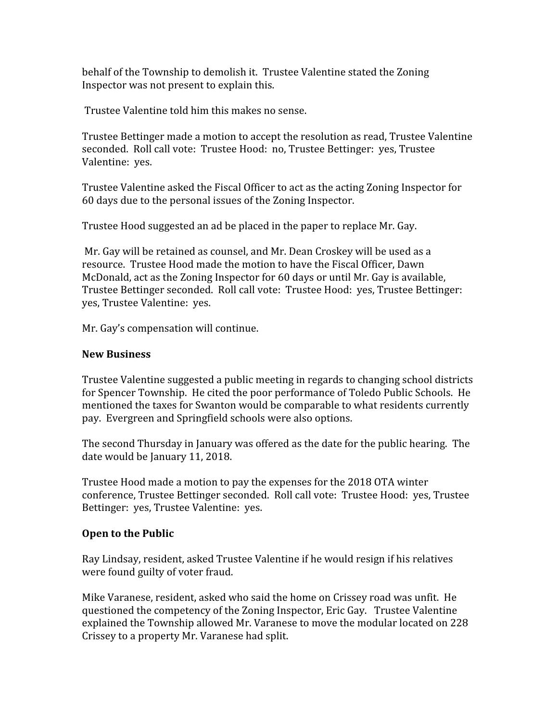behalf of the Township to demolish it. Trustee Valentine stated the Zoning Inspector was not present to explain this.

Trustee Valentine told him this makes no sense.

Trustee Bettinger made a motion to accept the resolution as read, Trustee Valentine seconded. Roll call vote: Trustee Hood: no, Trustee Bettinger: yes, Trustee Valentine: yes.

Trustee Valentine asked the Fiscal Officer to act as the acting Zoning Inspector for 60 days due to the personal issues of the Zoning Inspector.

Trustee Hood suggested an ad be placed in the paper to replace Mr. Gay.

 Mr. Gay will be retained as counsel, and Mr. Dean Croskey will be used as a resource. Trustee Hood made the motion to have the Fiscal Officer, Dawn McDonald, act as the Zoning Inspector for 60 days or until Mr. Gay is available, Trustee Bettinger seconded. Roll call vote: Trustee Hood: yes, Trustee Bettinger: yes, Trustee Valentine: yes.

Mr. Gay's compensation will continue.

## New Business

Trustee Valentine suggested a public meeting in regards to changing school districts for Spencer Township. He cited the poor performance of Toledo Public Schools. He mentioned the taxes for Swanton would be comparable to what residents currently pay. Evergreen and Springfield schools were also options.

The second Thursday in January was offered as the date for the public hearing. The date would be January 11, 2018.

Trustee Hood made a motion to pay the expenses for the 2018 OTA winter conference, Trustee Bettinger seconded. Roll call vote: Trustee Hood: yes, Trustee Bettinger: yes, Trustee Valentine: yes.

# Open to the Public

Ray Lindsay, resident, asked Trustee Valentine if he would resign if his relatives were found guilty of voter fraud.

Mike Varanese, resident, asked who said the home on Crissey road was unfit. He questioned the competency of the Zoning Inspector, Eric Gay. Trustee Valentine explained the Township allowed Mr. Varanese to move the modular located on 228 Crissey to a property Mr. Varanese had split.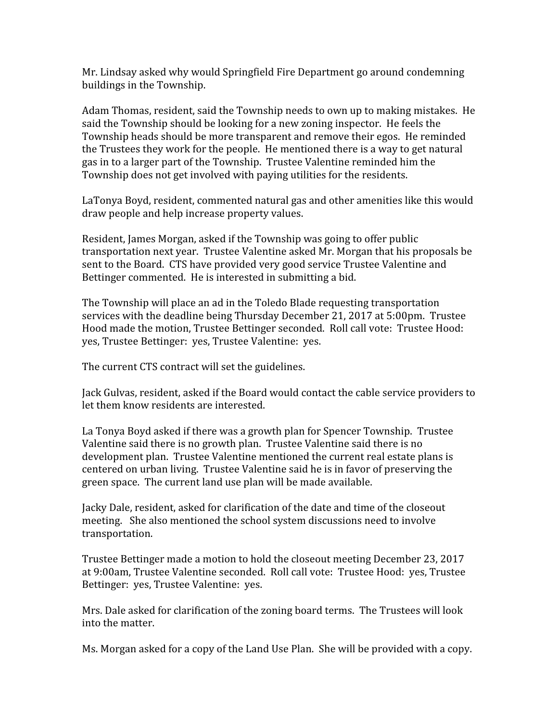Mr. Lindsay asked why would Springfield Fire Department go around condemning buildings in the Township.

Adam Thomas, resident, said the Township needs to own up to making mistakes. He said the Township should be looking for a new zoning inspector. He feels the Township heads should be more transparent and remove their egos. He reminded the Trustees they work for the people. He mentioned there is a way to get natural gas in to a larger part of the Township. Trustee Valentine reminded him the Township does not get involved with paying utilities for the residents.

LaTonya Boyd, resident, commented natural gas and other amenities like this would draw people and help increase property values.

Resident, James Morgan, asked if the Township was going to offer public transportation next year. Trustee Valentine asked Mr. Morgan that his proposals be sent to the Board. CTS have provided very good service Trustee Valentine and Bettinger commented. He is interested in submitting a bid.

The Township will place an ad in the Toledo Blade requesting transportation services with the deadline being Thursday December 21, 2017 at 5:00pm. Trustee Hood made the motion, Trustee Bettinger seconded. Roll call vote: Trustee Hood: yes, Trustee Bettinger: yes, Trustee Valentine: yes.

The current CTS contract will set the guidelines.

Jack Gulvas, resident, asked if the Board would contact the cable service providers to let them know residents are interested.

La Tonya Boyd asked if there was a growth plan for Spencer Township. Trustee Valentine said there is no growth plan. Trustee Valentine said there is no development plan. Trustee Valentine mentioned the current real estate plans is centered on urban living. Trustee Valentine said he is in favor of preserving the green space. The current land use plan will be made available.

Jacky Dale, resident, asked for clarification of the date and time of the closeout meeting. She also mentioned the school system discussions need to involve transportation.

Trustee Bettinger made a motion to hold the closeout meeting December 23, 2017 at 9:00am, Trustee Valentine seconded. Roll call vote: Trustee Hood: yes, Trustee Bettinger: yes, Trustee Valentine: yes.

Mrs. Dale asked for clarification of the zoning board terms. The Trustees will look into the matter.

Ms. Morgan asked for a copy of the Land Use Plan. She will be provided with a copy.